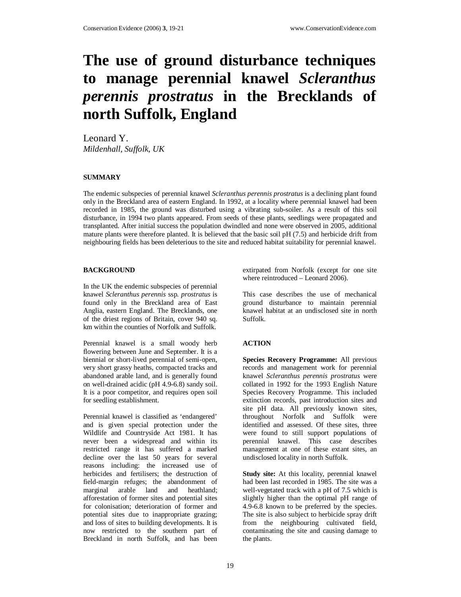# **The use of ground disturbance techniques to manage perennial knawel** *Scleranthus perennis prostratus* **in the Brecklands of north Suffolk, England**

Leonard Y. *Mildenhall, Suffolk, UK* 

## **SUMMARY**

The endemic subspecies of perennial knawel *Scleranthus perennis prostratus* is a declining plant found only in the Breckland area of eastern England. In 1992, at a locality where perennial knawel had been recorded in 1985, the ground was disturbed using a vibrating sub-soiler. As a result of this soil disturbance, in 1994 two plants appeared. From seeds of these plants, seedlings were propagated and transplanted. After initial success the population dwindled and none were observed in 2005, additional mature plants were therefore planted. It is believed that the basic soil pH (7.5) and herbicide drift from neighbouring fields has been deleterious to the site and reduced habitat suitability for perennial knawel.

## **BACKGROUND**

In the UK the endemic subspecies of perennial knawel *Scleranthus perennis* ssp. *prostratus* is found only in the Breckland area of East Anglia, eastern England. The Brecklands, one of the driest regions of Britain, cover 940 sq. km within the counties of Norfolk and Suffolk.

Perennial knawel is a small woody herb flowering between June and September. It is a biennial or short-lived perennial of semi-open, very short grassy heaths, compacted tracks and abandoned arable land, and is generally found on well-drained acidic (pH 4.9-6.8) sandy soil. It is a poor competitor, and requires open soil for seedling establishment.

Perennial knawel is classified as 'endangered' and is given special protection under the Wildlife and Countryside Act 1981. It has never been a widespread and within its restricted range it has suffered a marked decline over the last 50 years for several reasons including: the increased use of herbicides and fertilisers; the destruction of field-margin refuges; the abandonment of marginal arable land and heathland; afforestation of former sites and potential sites for colonisation; deterioration of former and potential sites due to inappropriate grazing; and loss of sites to building developments. It is now restricted to the southern part of Breckland in north Suffolk, and has been

extirpated from Norfolk (except for one site where reintroduced – Leonard 2006).

This case describes the use of mechanical ground disturbance to maintain perennial knawel habitat at an undisclosed site in north Suffolk.

## **ACTION**

**Species Recovery Programme:** All previous records and management work for perennial knawel *Scleranthus perennis prostratus* were collated in 1992 for the 1993 English Nature Species Recovery Programme. This included extinction records, past introduction sites and site pH data. All previously known sites, throughout Norfolk and Suffolk were identified and assessed. Of these sites, three were found to still support populations of perennial knawel. This case describes management at one of these extant sites, an undisclosed locality in north Suffolk.

**Study site:** At this locality, perennial knawel had been last recorded in 1985. The site was a well-vegetated track with a pH of 7.5 which is slightly higher than the optimal pH range of 4.9-6.8 known to be preferred by the species. The site is also subject to herbicide spray drift from the neighbouring cultivated field, contaminating the site and causing damage to the plants.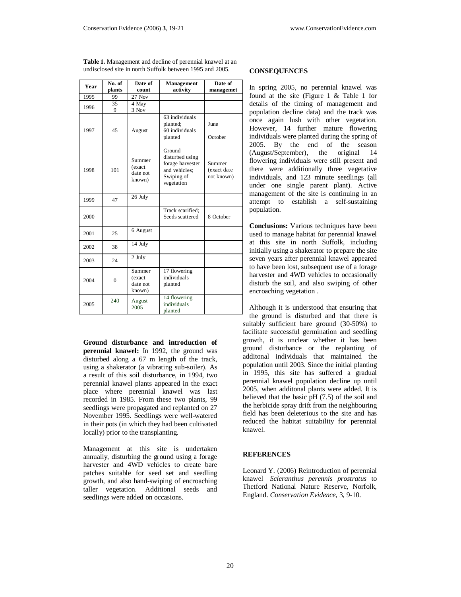| Year | No. of   | Date of                                | Management                                                                                 | Date of                             |
|------|----------|----------------------------------------|--------------------------------------------------------------------------------------------|-------------------------------------|
|      | plants   | count                                  | activity                                                                                   | managemet                           |
| 1995 | 99       | $27$ Nov                               |                                                                                            |                                     |
| 1996 | 35<br>9  | 4 May<br>3 Nov                         |                                                                                            |                                     |
| 1997 | 45       | August                                 | 63 individuals<br>planted;<br>60 individuals<br>planted                                    | June<br>October                     |
| 1998 | 101      | Summer<br>(exact<br>date not<br>known) | Ground<br>disturbed using<br>forage harvester<br>and vehicles;<br>Swiping of<br>vegetation | Summer<br>(exact date<br>not known) |
| 1999 | 47       | 26 July                                |                                                                                            |                                     |
| 2000 |          |                                        | Track scarified:<br>Seeds scattered                                                        | 8 October                           |
| 2001 | 25       | 6 August                               |                                                                                            |                                     |
| 2002 | 38       | 14 July                                |                                                                                            |                                     |
| 2003 | 24       | 2 July                                 |                                                                                            |                                     |
| 2004 | $\theta$ | Summer<br>(exact<br>date not<br>known) | 17 flowering<br>individuals<br>planted                                                     |                                     |
| 2005 | 240      | August<br>2005                         | 14 flowering<br>individuals<br>planted                                                     |                                     |

**Table 1.** Management and decline of perennial knawel at an undisclosed site in north Suffolk between 1995 and 2005.

**Ground disturbance and introduction of perennial knawel:** In 1992, the ground was disturbed along a 67 m length of the track, using a shakerator (a vibrating sub-soiler). As a result of this soil disturbance, in 1994, two perennial knawel plants appeared in the exact place where perennial knawel was last recorded in 1985. From these two plants, 99 seedlings were propagated and replanted on 27 November 1995. Seedlings were well-watered in their pots (in which they had been cultivated locally) prior to the transplanting.

Management at this site is undertaken annually, disturbing the ground using a forage harvester and 4WD vehicles to create bare patches suitable for seed set and seedling growth, and also hand-swiping of encroaching taller vegetation. Additional seeds and seedlings were added on occasions.

## **CONSEQUENCES**

In spring 2005, no perennial knawel was found at the site (Figure 1 & Table 1 for details of the timing of management and population decline data) and the track was once again lush with other vegetation. However, 14 further mature flowering individuals were planted during the spring of 2005. By the end of the season (August/September), the original 14 flowering individuals were still present and there were additionally three vegetative individuals, and 123 minute seedlings (all under one single parent plant). Active management of the site is continuing in an attempt to establish a self-sustaining population.

**Conclusions:** Various techniques have been used to manage habitat for perennial knawel at this site in north Suffolk, including initially using a shakerator to prepare the site seven years after perennial knawel appeared to have been lost, subsequent use of a forage harvester and 4WD vehicles to occasionally disturb the soil, and also swiping of other encroaching vegetation .

Although it is understood that ensuring that the ground is disturbed and that there is suitably sufficient bare ground (30-50%) to facilitate successful germination and seedling growth, it is unclear whether it has been ground disturbance or the replanting of additonal individuals that maintained the population until 2003. Since the initial planting in 1995, this site has suffered a gradual perennial knawel population decline up until 2005, when additonal plants were added. It is believed that the basic pH (7.5) of the soil and the herbicide spray drift from the neighbouring field has been deleterious to the site and has reduced the habitat suitability for perennial knawel.

#### **REFERENCES**

Leonard Y. (2006) Reintroduction of perennial knawel *Scleranthus perennis prostratus* to Thetford National Nature Reserve, Norfolk, England. *Conservation Evidence,* 3, 9-10.